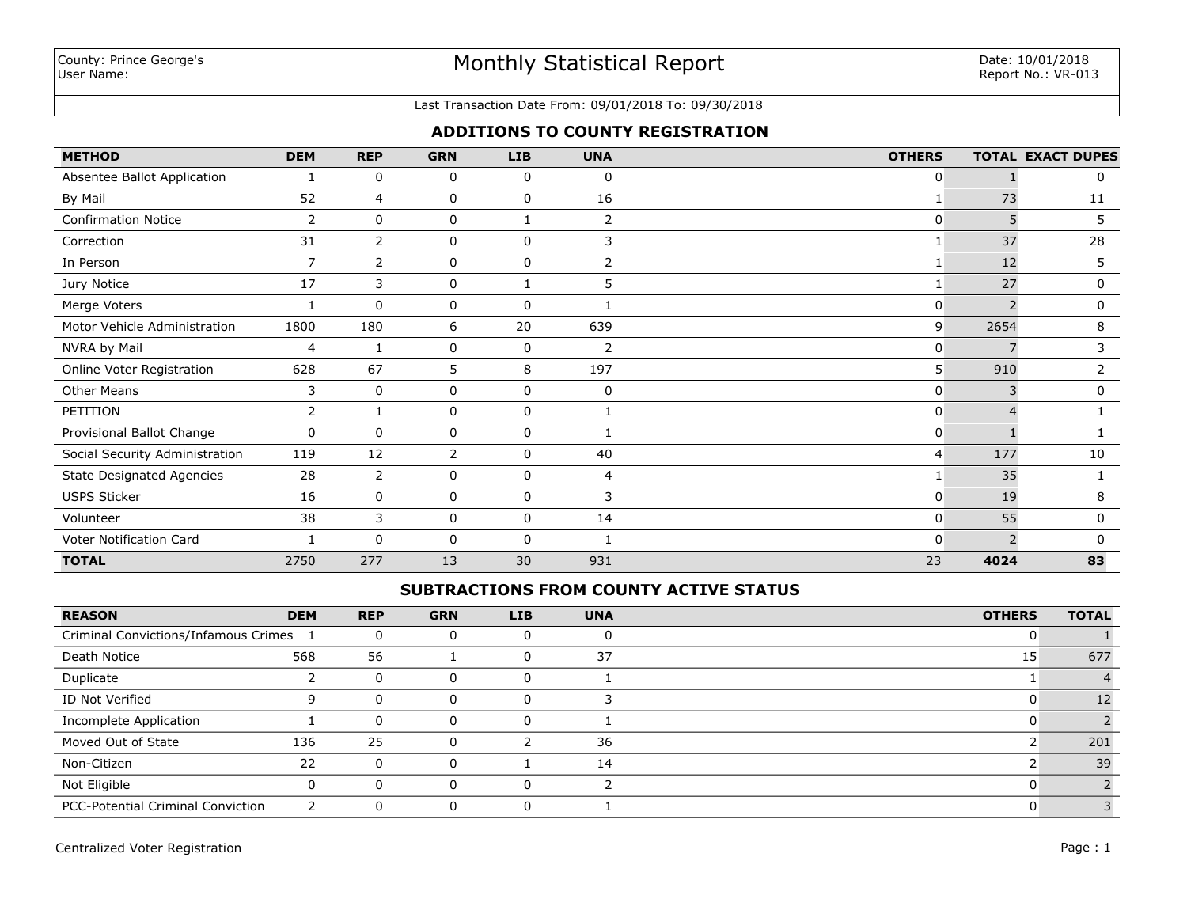#### Last Transaction Date From: 09/01/2018 To: 09/30/2018

### **ADDITIONS TO COUNTY REGISTRATION**

| <b>METHOD</b>                    | <b>DEM</b>     | <b>REP</b>     | <b>GRN</b> | <b>LIB</b>  | <b>UNA</b>     | <b>OTHERS</b> |      | <b>TOTAL EXACT DUPES</b> |
|----------------------------------|----------------|----------------|------------|-------------|----------------|---------------|------|--------------------------|
| Absentee Ballot Application      |                | 0              | 0          | 0           | 0              | 0             |      | 0                        |
| By Mail                          | 52             | 4              | 0          | 0           | 16             | 1             | 73   | 11                       |
| <b>Confirmation Notice</b>       | 2              | $\Omega$       | 0          |             | $\overline{2}$ | $\Omega$      | 5    | 5                        |
| Correction                       | 31             | $\overline{2}$ | 0          | 0           | 3              | 1             | 37   | 28                       |
| In Person                        | $\overline{7}$ | 2              | 0          | 0           | 2              | $\mathbf{1}$  | 12   | 5                        |
| Jury Notice                      | 17             | 3              | 0          |             | 5              | 1             | 27   | 0                        |
| Merge Voters                     |                | $\mathbf 0$    | 0          | $\mathbf 0$ |                | 0             |      | 0                        |
| Motor Vehicle Administration     | 1800           | 180            | 6          | 20          | 639            | 9             | 2654 | 8                        |
| NVRA by Mail                     | 4              | 1              | 0          | 0           | 2              | 0             |      | 3                        |
| Online Voter Registration        | 628            | 67             | 5          | 8           | 197            | 5             | 910  | 2                        |
| <b>Other Means</b>               | 3              | $\Omega$       | $\Omega$   | $\Omega$    | $\mathbf 0$    | $\Omega$      | 3    | 0                        |
| PETITION                         | $\overline{2}$ | 1              | 0          | 0           |                | 0             | 4    |                          |
| Provisional Ballot Change        | $\mathbf 0$    | $\mathbf 0$    | 0          | $\mathbf 0$ |                | 0             |      |                          |
| Social Security Administration   | 119            | 12             | 2          | 0           | 40             | 4             | 177  | 10                       |
| <b>State Designated Agencies</b> | 28             | $\overline{2}$ | 0          | 0           | 4              | 1             | 35   |                          |
| <b>USPS Sticker</b>              | 16             | 0              | 0          | 0           | 3              | 0             | 19   | 8                        |
| Volunteer                        | 38             | 3              | 0          | 0           | 14             | $\Omega$      | 55   | 0                        |
| Voter Notification Card          |                | $\Omega$       | 0          | $\Omega$    |                | 0             |      | <sup>0</sup>             |
| <b>TOTAL</b>                     | 2750           | 277            | 13         | 30          | 931            | 23            | 4024 | 83                       |

### **SUBTRACTIONS FROM COUNTY ACTIVE STATUS**

| <b>REASON</b>                            | <b>DEM</b> | <b>REP</b> | <b>GRN</b> | <b>LIB</b> | <b>UNA</b> | <b>OTHERS</b> | <b>TOTAL</b> |
|------------------------------------------|------------|------------|------------|------------|------------|---------------|--------------|
| Criminal Convictions/Infamous Crimes     |            |            |            |            |            |               |              |
| Death Notice                             | 568        | 56         |            | -0         | 37         | 15            | 677          |
| Duplicate                                |            |            | O          | U          |            |               |              |
| ID Not Verified                          |            |            | O          | 0          |            |               |              |
| Incomplete Application                   |            |            |            | 0          |            |               |              |
| Moved Out of State                       | 136        | 25         | U          |            | 36         |               | 201          |
| Non-Citizen                              | 22         |            | O          |            | 14         |               | 39           |
| Not Eligible                             |            |            |            | $\Omega$   |            |               |              |
| <b>PCC-Potential Criminal Conviction</b> |            |            |            |            |            |               |              |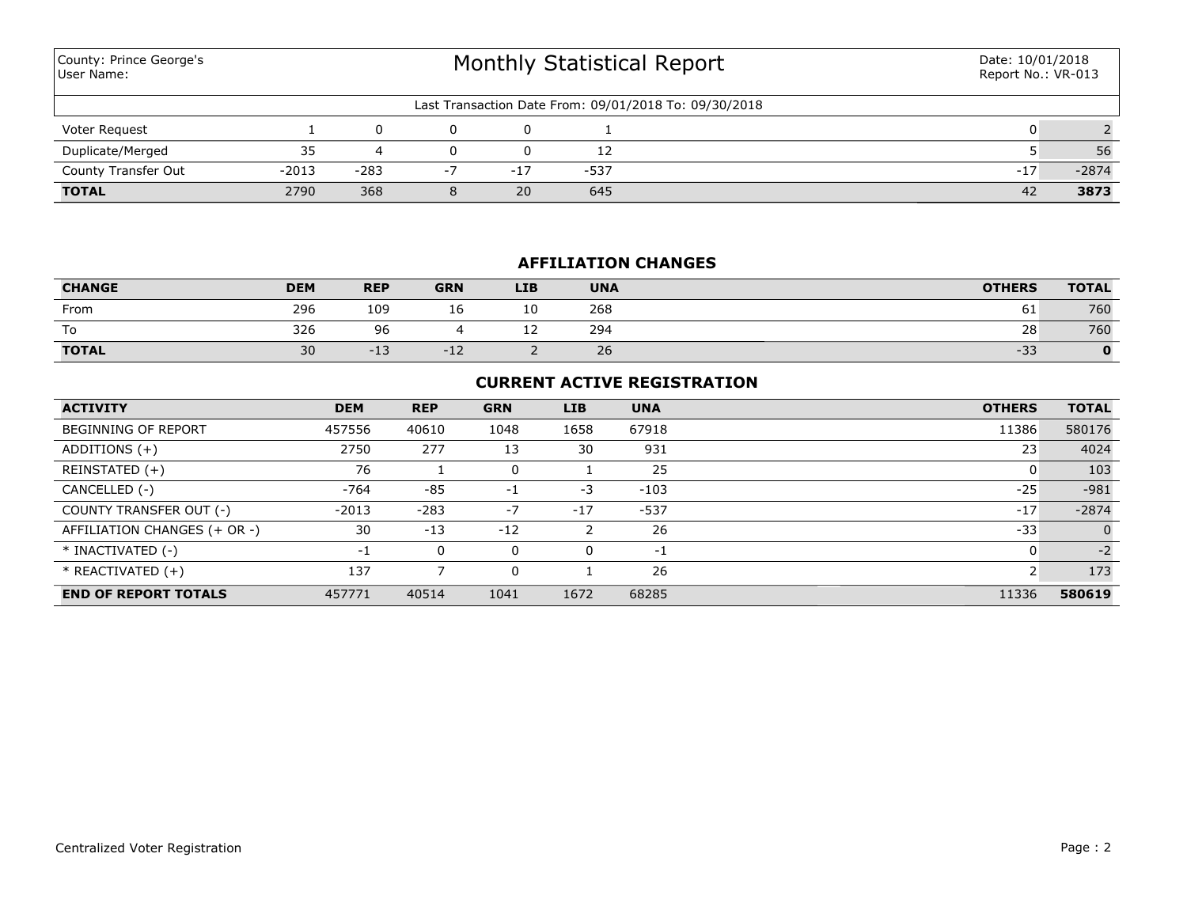| County: Prince George's<br>User Name: |         |        | Date: 10/01/2018<br>Report No.: VR-013 |       |      |                                                       |       |         |
|---------------------------------------|---------|--------|----------------------------------------|-------|------|-------------------------------------------------------|-------|---------|
|                                       |         |        |                                        |       |      | Last Transaction Date From: 09/01/2018 To: 09/30/2018 |       |         |
| Voter Request                         |         |        |                                        |       |      |                                                       |       |         |
| Duplicate/Merged                      | 35      | 4      |                                        |       | 12   |                                                       |       | 56      |
| County Transfer Out                   | $-2013$ | $-283$ | $-7$                                   | $-17$ | -537 |                                                       | $-17$ | $-2874$ |
| <b>TOTAL</b>                          | 2790    | 368    | 8                                      | 20    | 645  |                                                       | 42    | 3873    |

# **AFFILIATION CHANGES**

| <b>CHANGE</b> | <b>DEM</b> | <b>REP</b>       | <b>GRN</b> | <b>LIB</b> | <b>UNA</b> | <b>OTHERS</b> | <b>TOTAL</b> |
|---------------|------------|------------------|------------|------------|------------|---------------|--------------|
| From          | 296        | 109              | τo         | 10         | 268        | 61            | 760          |
| To            | 326        | 96               |            | <u>_ _</u> | 294        | 28            | 760          |
| <b>TOTAL</b>  | 30         | $\cdot$<br>$-15$ | $-L$       |            | 26         | $-33$         |              |

## **CURRENT ACTIVE REGISTRATION**

| <b>ACTIVITY</b>              | <b>DEM</b> | <b>REP</b> | <b>GRN</b> | <b>LIB</b> | <b>UNA</b> | <b>OTHERS</b> | <b>TOTAL</b>   |
|------------------------------|------------|------------|------------|------------|------------|---------------|----------------|
| <b>BEGINNING OF REPORT</b>   | 457556     | 40610      | 1048       | 1658       | 67918      | 11386         | 580176         |
| ADDITIONS $(+)$              | 2750       | 277        | 13         | 30         | 931        | 23            | 4024           |
| REINSTATED (+)               | 76         |            |            |            | 25         |               | 103            |
| CANCELLED (-)                | $-764$     | $-85$      | $-1$       | $-3$       | $-103$     | $-25$         | $-981$         |
| COUNTY TRANSFER OUT (-)      | $-2013$    | $-283$     | -7         | $-17$      | $-537$     | $-17$         | $-2874$        |
| AFFILIATION CHANGES (+ OR -) | 30         | $-13$      | $-12$      |            | 26         | $-33$         | $\overline{0}$ |
| * INACTIVATED (-)            | -1         | 0          | 0          | 0          | -1         |               | $-2$           |
| $*$ REACTIVATED $(+)$        | 137        |            |            |            | 26         |               | 173            |
| <b>END OF REPORT TOTALS</b>  | 457771     | 40514      | 1041       | 1672       | 68285      | 11336         | 580619         |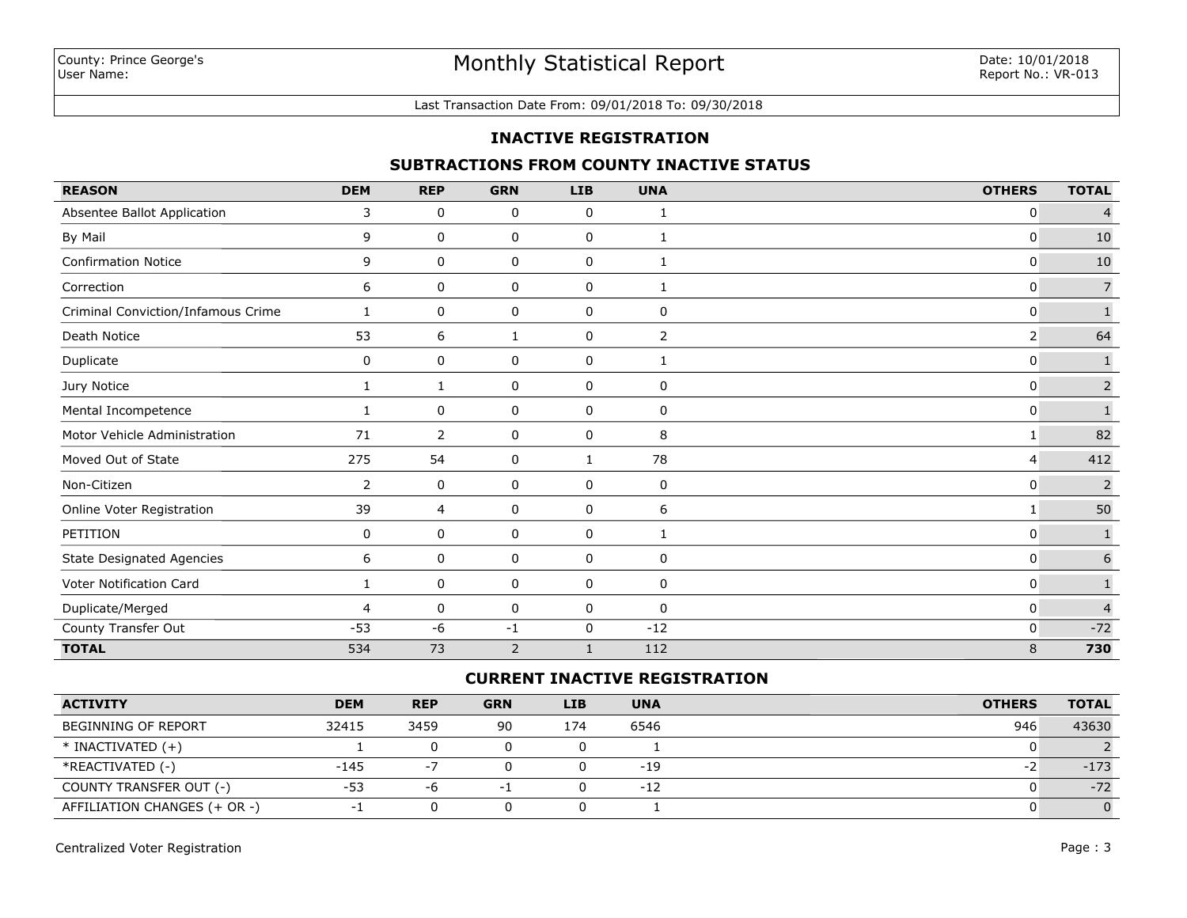### Last Transaction Date From: 09/01/2018 To: 09/30/2018

#### **INACTIVE REGISTRATION**

## **SUBTRACTIONS FROM COUNTY INACTIVE STATUS**

| <b>REASON</b>                      | <b>DEM</b>     | <b>REP</b>     | <b>GRN</b> | <b>LIB</b>   | <b>UNA</b>     | <b>OTHERS</b>  | <b>TOTAL</b>     |
|------------------------------------|----------------|----------------|------------|--------------|----------------|----------------|------------------|
| Absentee Ballot Application        | 3              | $\mathbf 0$    | 0          | 0            | 1              | 0              | $\overline{4}$   |
| By Mail                            | 9              | 0              | 0          | 0            | 1              | $\mathbf 0$    | 10               |
| <b>Confirmation Notice</b>         | 9              | 0              | 0          | 0            | 1              | $\mathbf 0$    | 10               |
| Correction                         | 6              | 0              | 0          | 0            | 1              | $\mathbf 0$    | $\boldsymbol{7}$ |
| Criminal Conviction/Infamous Crime | 1              | 0              | 0          | 0            | 0              | 0              | $\overline{1}$   |
| Death Notice                       | 53             | 6              | 1          | 0            | $\overline{2}$ | $\overline{2}$ | 64               |
| Duplicate                          | 0              | 0              | 0          | 0            | 1              | $\mathbf 0$    | $\mathbf{1}$     |
| Jury Notice                        | 1              | 1              | 0          | 0            | 0              | $\mathbf 0$    | $\overline{2}$   |
| Mental Incompetence                |                | 0              | 0          | 0            | 0              | $\mathbf 0$    | $\mathbf{1}$     |
| Motor Vehicle Administration       | 71             | 2              | 0          | 0            | 8              | 1              | 82               |
| Moved Out of State                 | 275            | 54             | 0          | 1            | 78             | $\overline{4}$ | 412              |
| Non-Citizen                        | $\overline{2}$ | 0              | 0          | 0            | 0              | $\mathbf 0$    | $\overline{2}$   |
| Online Voter Registration          | 39             | $\overline{4}$ | 0          | 0            | 6              | 1              | 50               |
| PETITION                           | 0              | 0              | 0          | 0            | 1              | $\mathbf{0}$   | $\mathbf 1$      |
| <b>State Designated Agencies</b>   | 6              | 0              | 0          | 0            | 0              | $\mathbf{0}$   | $\boldsymbol{6}$ |
| Voter Notification Card            | 1              | 0              | 0          | 0            | 0              | $\mathbf{0}$   | $\mathbf{1}$     |
| Duplicate/Merged                   | $\overline{4}$ | 0              | 0          | 0            | 0              | $\mathbf{0}$   | $\overline{4}$   |
| County Transfer Out                | $-53$          | $-6$           | $-1$       | 0            | $-12$          | $\mathbf 0$    | $-72$            |
| <b>TOTAL</b>                       | 534            | 73             | 2          | $\mathbf{1}$ | 112            | 8              | 730              |

## **CURRENT INACTIVE REGISTRATION**

| <b>ACTIVITY</b>              | <b>DEM</b> | <b>REP</b> | <b>GRN</b> | LIB. | <b>UNA</b> | <b>OTHERS</b> | <b>TOTAL</b> |
|------------------------------|------------|------------|------------|------|------------|---------------|--------------|
| BEGINNING OF REPORT          | 32415      | 3459       | 90         | 174  | 6546       | 946           | 43630        |
| $*$ INACTIVATED $(+)$        |            | 0          |            |      |            |               |              |
| *REACTIVATED (-)             | $-145$     | $-7$       |            |      | $-19$      | ΞZ            | $-173$       |
| COUNTY TRANSFER OUT (-)      | $-53$      | -6         |            |      | $-12$      |               | $-72$        |
| AFFILIATION CHANGES (+ OR -) |            |            |            |      |            |               |              |